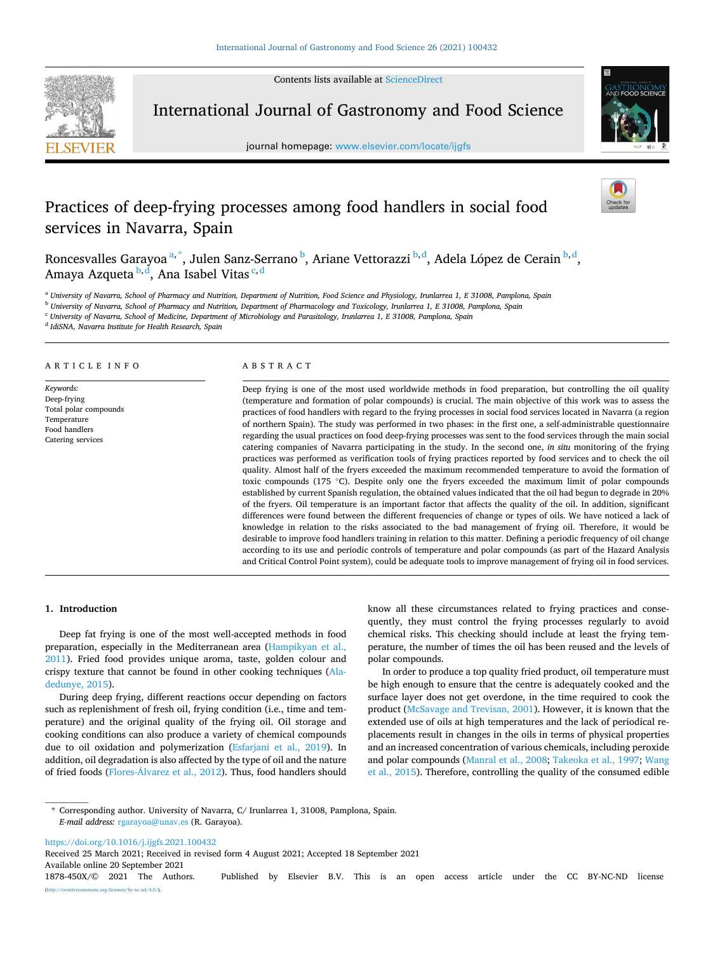Contents lists available at [ScienceDirect](www.sciencedirect.com/science/journal/1878450X)



International Journal of Gastronomy and Food Science

journal homepage: [www.elsevier.com/locate/ijgfs](https://www.elsevier.com/locate/ijgfs)



# Practices of deep-frying processes among food handlers in social food services in Navarra, Spain

Roncesvalles Garayoa <sup>a, \*</sup>, Julen Sanz-Serrano <sup>b</sup>, Ariane Vettorazzi <sup>b,d</sup>, Adela López de Cerain <sup>b,d</sup>, Amaya Azqueta <sup>b,d</sup>, Ana Isabel Vitas <sup>c,d</sup>

<sup>a</sup> *University of Navarra, School of Pharmacy and Nutrition, Department of Nutrition, Food Science and Physiology, Irunlarrea 1, E 31008, Pamplona, Spain* 

<sup>b</sup> *University of Navarra, School of Pharmacy and Nutrition, Department of Pharmacology and Toxicology, Irunlarrea 1, E 31008, Pamplona, Spain* 

<sup>c</sup> *University of Navarra, School of Medicine, Department of Microbiology and Parasitology, Irunlarrea 1, E 31008, Pamplona, Spain* 

<sup>d</sup> *IdiSNA, Navarra Institute for Health Research, Spain* 

## ARTICLE INFO

*Keywords:*  Deep-frying Total polar compounds Temperature Food handlers Catering services

## ABSTRACT

Deep frying is one of the most used worldwide methods in food preparation, but controlling the oil quality (temperature and formation of polar compounds) is crucial. The main objective of this work was to assess the practices of food handlers with regard to the frying processes in social food services located in Navarra (a region of northern Spain). The study was performed in two phases: in the first one, a self-administrable questionnaire regarding the usual practices on food deep-frying processes was sent to the food services through the main social catering companies of Navarra participating in the study. In the second one, *in situ* monitoring of the frying practices was performed as verification tools of frying practices reported by food services and to check the oil quality. Almost half of the fryers exceeded the maximum recommended temperature to avoid the formation of toxic compounds (175 ◦C). Despite only one the fryers exceeded the maximum limit of polar compounds established by current Spanish regulation, the obtained values indicated that the oil had begun to degrade in 20% of the fryers. Oil temperature is an important factor that affects the quality of the oil. In addition, significant differences were found between the different frequencies of change or types of oils. We have noticed a lack of knowledge in relation to the risks associated to the bad management of frying oil. Therefore, it would be desirable to improve food handlers training in relation to this matter. Defining a periodic frequency of oil change according to its use and periodic controls of temperature and polar compounds (as part of the Hazard Analysis and Critical Control Point system), could be adequate tools to improve management of frying oil in food services.

#### **1. Introduction**

Deep fat frying is one of the most well-accepted methods in food preparation, especially in the Mediterranean area ([Hampikyan et al.,](#page-5-0)  [2011\)](#page-5-0). Fried food provides unique aroma, taste, golden colour and crispy texture that cannot be found in other cooking techniques [\(Ala](#page-5-0)[dedunye, 2015](#page-5-0)).

During deep frying, different reactions occur depending on factors such as replenishment of fresh oil, frying condition (i.e., time and temperature) and the original quality of the frying oil. Oil storage and cooking conditions can also produce a variety of chemical compounds due to oil oxidation and polymerization ([Esfarjani et al., 2019](#page-5-0)). In addition, oil degradation is also affected by the type of oil and the nature of fried foods (Flores-Álvarez et al., 2012). Thus, food handlers should know all these circumstances related to frying practices and consequently, they must control the frying processes regularly to avoid chemical risks. This checking should include at least the frying temperature, the number of times the oil has been reused and the levels of polar compounds.

In order to produce a top quality fried product, oil temperature must be high enough to ensure that the centre is adequately cooked and the surface layer does not get overdone, in the time required to cook the product [\(McSavage and Trevisan, 2001\)](#page-5-0). However, it is known that the extended use of oils at high temperatures and the lack of periodical replacements result in changes in the oils in terms of physical properties and an increased concentration of various chemicals, including peroxide and polar compounds [\(Manral et al., 2008](#page-5-0); [Takeoka et al., 1997;](#page-5-0) [Wang](#page-5-0)  [et al., 2015\)](#page-5-0). Therefore, controlling the quality of the consumed edible

<https://doi.org/10.1016/j.ijgfs.2021.100432>

Available online 20 September 2021 Received 25 March 2021; Received in revised form 4 August 2021; Accepted 18 September 2021

1878-450X/© 2021 The Authors. Published by Elsevier B.V. This is an open access article under the CC BY-NC-ND license [\(http://creativecommons.org/licenses/by-nc-nd/4.0/\)](http://creativecommons.org/licenses/by-nc-nd/4.0/).

<sup>\*</sup> Corresponding author. University of Navarra, C/ Irunlarrea 1, 31008, Pamplona, Spain. *E-mail address:* [rgarayoa@unav.es](mailto:rgarayoa@unav.es) (R. Garayoa).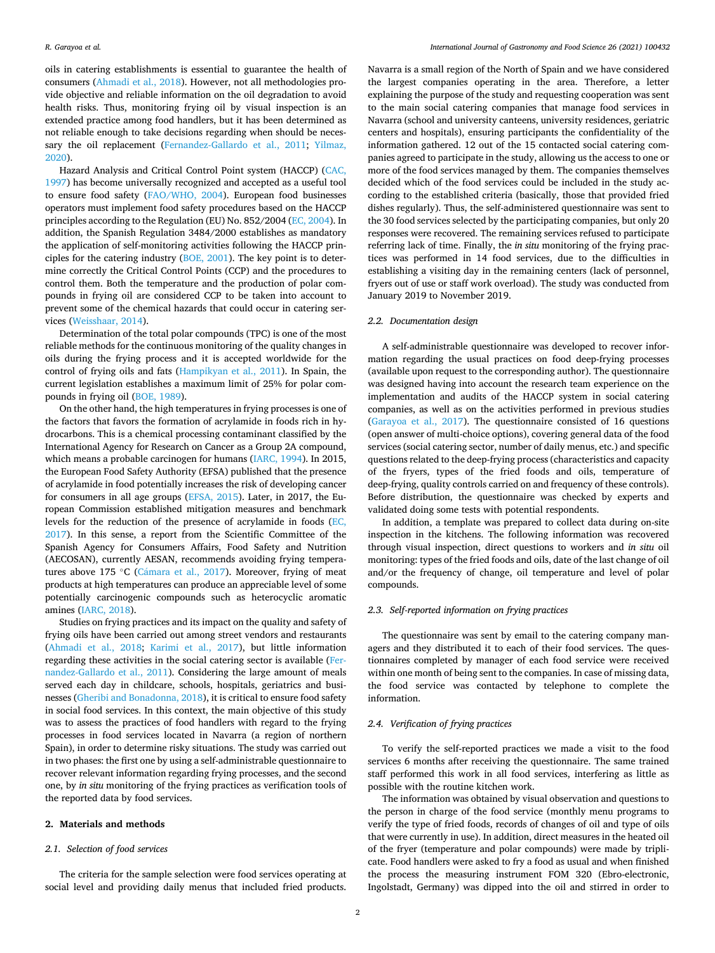oils in catering establishments is essential to guarantee the health of consumers [\(Ahmadi et al., 2018\)](#page-5-0). However, not all methodologies provide objective and reliable information on the oil degradation to avoid health risks. Thus, monitoring frying oil by visual inspection is an extended practice among food handlers, but it has been determined as not reliable enough to take decisions regarding when should be necessary the oil replacement [\(Fernandez-Gallardo et al., 2011](#page-5-0); [Yilmaz,](#page-5-0)  [2020\)](#page-5-0).

Hazard Analysis and Critical Control Point system (HACCP) [\(CAC,](#page-5-0)  [1997\)](#page-5-0) has become universally recognized and accepted as a useful tool to ensure food safety [\(FAO/WHO, 2004\)](#page-5-0). European food businesses operators must implement food safety procedures based on the HACCP principles according to the Regulation (EU) No. 852/2004 [\(EC, 2004\)](#page-5-0). In addition, the Spanish Regulation 3484/2000 establishes as mandatory the application of self-monitoring activities following the HACCP principles for the catering industry ([BOE, 2001\)](#page-5-0). The key point is to determine correctly the Critical Control Points (CCP) and the procedures to control them. Both the temperature and the production of polar compounds in frying oil are considered CCP to be taken into account to prevent some of the chemical hazards that could occur in catering services [\(Weisshaar, 2014\)](#page-5-0).

Determination of the total polar compounds (TPC) is one of the most reliable methods for the continuous monitoring of the quality changes in oils during the frying process and it is accepted worldwide for the control of frying oils and fats [\(Hampikyan et al., 2011](#page-5-0)). In Spain, the current legislation establishes a maximum limit of 25% for polar compounds in frying oil ([BOE, 1989\)](#page-5-0).

On the other hand, the high temperatures in frying processes is one of the factors that favors the formation of acrylamide in foods rich in hydrocarbons. This is a chemical processing contaminant classified by the International Agency for Research on Cancer as a Group 2A compound, which means a probable carcinogen for humans [\(IARC, 1994\)](#page-5-0). In 2015, the European Food Safety Authority (EFSA) published that the presence of acrylamide in food potentially increases the risk of developing cancer for consumers in all age groups [\(EFSA, 2015\)](#page-5-0). Later, in 2017, the European Commission established mitigation measures and benchmark levels for the reduction of the presence of acrylamide in foods ([EC,](#page-5-0)  [2017\)](#page-5-0). In this sense, a report from the Scientific Committee of the Spanish Agency for Consumers Affairs, Food Safety and Nutrition (AECOSAN), currently AESAN, recommends avoiding frying temperatures above 175 °C (Cámara et al., 2017). Moreover, frying of meat products at high temperatures can produce an appreciable level of some potentially carcinogenic compounds such as heterocyclic aromatic amines ([IARC, 2018\)](#page-5-0).

Studies on frying practices and its impact on the quality and safety of frying oils have been carried out among street vendors and restaurants ([Ahmadi et al., 2018](#page-5-0); [Karimi et al., 2017](#page-5-0)), but little information regarding these activities in the social catering sector is available ([Fer](#page-5-0)[nandez-Gallardo et al., 2011](#page-5-0)). Considering the large amount of meals served each day in childcare, schools, hospitals, geriatrics and businesses [\(Gheribi and Bonadonna, 2018\)](#page-5-0), it is critical to ensure food safety in social food services. In this context, the main objective of this study was to assess the practices of food handlers with regard to the frying processes in food services located in Navarra (a region of northern Spain), in order to determine risky situations. The study was carried out in two phases: the first one by using a self-administrable questionnaire to recover relevant information regarding frying processes, and the second one, by *in situ* monitoring of the frying practices as verification tools of the reported data by food services.

#### **2. Materials and methods**

## *2.1. Selection of food services*

The criteria for the sample selection were food services operating at social level and providing daily menus that included fried products.

Navarra is a small region of the North of Spain and we have considered the largest companies operating in the area. Therefore, a letter explaining the purpose of the study and requesting cooperation was sent to the main social catering companies that manage food services in Navarra (school and university canteens, university residences, geriatric centers and hospitals), ensuring participants the confidentiality of the information gathered. 12 out of the 15 contacted social catering companies agreed to participate in the study, allowing us the access to one or more of the food services managed by them. The companies themselves decided which of the food services could be included in the study according to the established criteria (basically, those that provided fried dishes regularly). Thus, the self-administered questionnaire was sent to the 30 food services selected by the participating companies, but only 20 responses were recovered. The remaining services refused to participate referring lack of time. Finally, the *in situ* monitoring of the frying practices was performed in 14 food services, due to the difficulties in establishing a visiting day in the remaining centers (lack of personnel, fryers out of use or staff work overload). The study was conducted from January 2019 to November 2019.

#### *2.2. Documentation design*

A self-administrable questionnaire was developed to recover information regarding the usual practices on food deep-frying processes (available upon request to the corresponding author). The questionnaire was designed having into account the research team experience on the implementation and audits of the HACCP system in social catering companies, as well as on the activities performed in previous studies ([Garayoa et al., 2017](#page-5-0)). The questionnaire consisted of 16 questions (open answer of multi-choice options), covering general data of the food services (social catering sector, number of daily menus, etc.) and specific questions related to the deep-frying process (characteristics and capacity of the fryers, types of the fried foods and oils, temperature of deep-frying, quality controls carried on and frequency of these controls). Before distribution, the questionnaire was checked by experts and validated doing some tests with potential respondents.

In addition, a template was prepared to collect data during on-site inspection in the kitchens. The following information was recovered through visual inspection, direct questions to workers and *in situ* oil monitoring: types of the fried foods and oils, date of the last change of oil and/or the frequency of change, oil temperature and level of polar compounds.

## *2.3. Self-reported information on frying practices*

The questionnaire was sent by email to the catering company managers and they distributed it to each of their food services. The questionnaires completed by manager of each food service were received within one month of being sent to the companies. In case of missing data, the food service was contacted by telephone to complete the information.

## *2.4. Verification of frying practices*

To verify the self-reported practices we made a visit to the food services 6 months after receiving the questionnaire. The same trained staff performed this work in all food services, interfering as little as possible with the routine kitchen work.

The information was obtained by visual observation and questions to the person in charge of the food service (monthly menu programs to verify the type of fried foods, records of changes of oil and type of oils that were currently in use). In addition, direct measures in the heated oil of the fryer (temperature and polar compounds) were made by triplicate. Food handlers were asked to fry a food as usual and when finished the process the measuring instrument FOM 320 (Ebro-electronic, Ingolstadt, Germany) was dipped into the oil and stirred in order to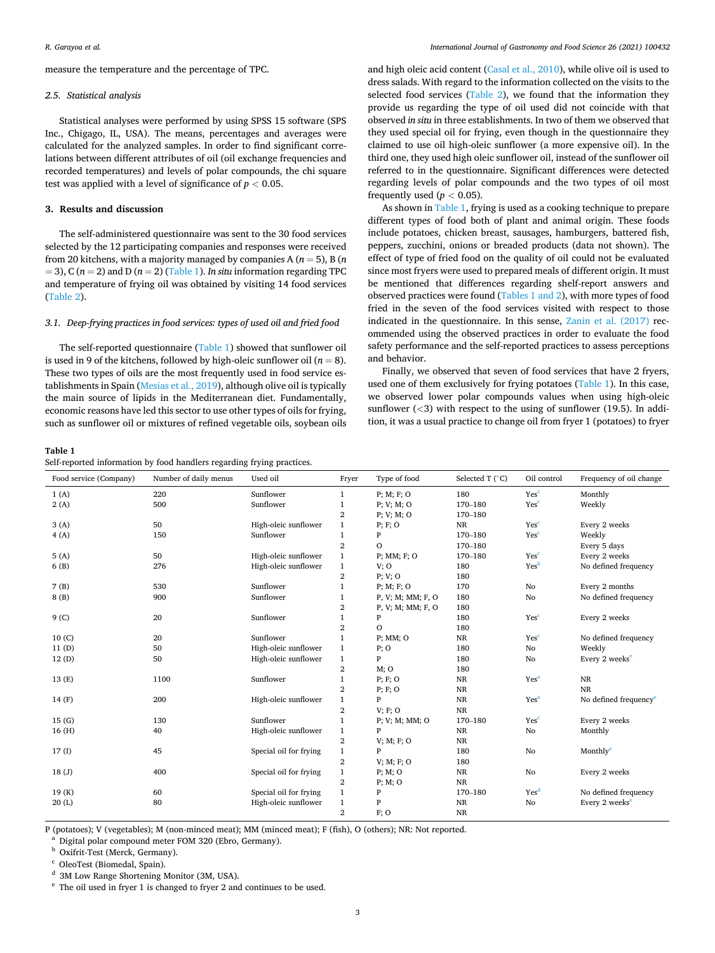<span id="page-2-0"></span>measure the temperature and the percentage of TPC.

#### *2.5. Statistical analysis*

Statistical analyses were performed by using SPSS 15 software (SPS Inc., Chigago, IL, USA). The means, percentages and averages were calculated for the analyzed samples. In order to find significant correlations between different attributes of oil (oil exchange frequencies and recorded temperatures) and levels of polar compounds, the chi square test was applied with a level of significance of *p <* 0.05.

## **3. Results and discussion**

The self-administered questionnaire was sent to the 30 food services selected by the 12 participating companies and responses were received from 20 kitchens, with a majority managed by companies A (*n* = 5), B (*n*   $= 3$ ), C ( $n = 2$ ) and D ( $n = 2$ ) (Table 1). *In situ* information regarding TPC and temperature of frying oil was obtained by visiting 14 food services ([Table 2](#page-3-0)).

## *3.1. Deep-frying practices in food services: types of used oil and fried food*

The self-reported questionnaire (Table 1) showed that sunflower oil is used in 9 of the kitchens, followed by high-oleic sunflower oil  $(n = 8)$ . These two types of oils are the most frequently used in food service establishments in Spain [\(Mesias et al., 2019](#page-5-0)), although olive oil is typically the main source of lipids in the Mediterranean diet. Fundamentally, economic reasons have led this sector to use other types of oils for frying, such as sunflower oil or mixtures of refined vegetable oils, soybean oils

## **Table 1**

|  | Self-reported information by food handlers regarding frying practices. |  |  |  |  |
|--|------------------------------------------------------------------------|--|--|--|--|
|  |                                                                        |  |  |  |  |

and high oleic acid content [\(Casal et al., 2010](#page-5-0)), while olive oil is used to dress salads. With regard to the information collected on the visits to the selected food services [\(Table 2\)](#page-3-0), we found that the information they provide us regarding the type of oil used did not coincide with that observed *in situ* in three establishments. In two of them we observed that they used special oil for frying, even though in the questionnaire they claimed to use oil high-oleic sunflower (a more expensive oil). In the third one, they used high oleic sunflower oil, instead of the sunflower oil referred to in the questionnaire. Significant differences were detected regarding levels of polar compounds and the two types of oil most frequently used  $(p < 0.05)$ .

As shown in Table 1, frying is used as a cooking technique to prepare different types of food both of plant and animal origin. These foods include potatoes, chicken breast, sausages, hamburgers, battered fish, peppers, zucchini, onions or breaded products (data not shown). The effect of type of fried food on the quality of oil could not be evaluated since most fryers were used to prepared meals of different origin. It must be mentioned that differences regarding shelf-report answers and observed practices were found (Tables 1 and 2), with more types of food fried in the seven of the food services visited with respect to those indicated in the questionnaire. In this sense, [Zanin et al. \(2017\)](#page-5-0) recommended using the observed practices in order to evaluate the food safety performance and the self-reported practices to assess perceptions and behavior.

Finally, we observed that seven of food services that have 2 fryers, used one of them exclusively for frying potatoes (Table 1). In this case, we observed lower polar compounds values when using high-oleic sunflower (*<*3) with respect to the using of sunflower (19.5). In addition, it was a usual practice to change oil from fryer 1 (potatoes) to fryer

| Food service (Company) | Number of daily menus | Used oil               | Fryer                   | Type of food          | Selected T $(^{\circ}C)$ | Oil control      | Frequency of oil change           |
|------------------------|-----------------------|------------------------|-------------------------|-----------------------|--------------------------|------------------|-----------------------------------|
| 1(A)                   | 220                   | Sunflower              | 1                       | $P$ ; M; F; O         | 180                      | Yes <sup>c</sup> | Monthly                           |
| 2(A)                   | 500                   | Sunflower              | $\mathbf{1}$            | P: V: M: O            | 170-180                  | Yes <sup>c</sup> | Weekly                            |
|                        |                       |                        | 2                       | $P$ ; $V$ ; $M$ ; $O$ | 170-180                  |                  |                                   |
| 3(A)                   | 50                    | High-oleic sunflower   | $\mathbf{1}$            | P; F; O               | NR                       | Yesc             | Every 2 weeks                     |
| 4(A)                   | 150                   | Sunflower              | $\mathbf{1}$            | P                     | 170-180                  | Yesc             | Weekly                            |
|                        |                       |                        | $\overline{\mathbf{2}}$ | $\mathbf{O}$          | 170-180                  |                  | Every 5 days                      |
| 5(A)                   | 50                    | High-oleic sunflower   | $\mathbf{1}$            | $P$ ; MM; $F$ ; O     | 170-180                  | Yes <sup>c</sup> | Every 2 weeks                     |
| 6(B)                   | 276                   | High-oleic sunflower   | $\mathbf{1}$            | V; O                  | 180                      | Yesb             | No defined frequency              |
|                        |                       |                        | 2                       | P; V; O               | 180                      |                  |                                   |
| 7(B)                   | 530                   | Sunflower              | 1                       | $P$ ; M; F; O         | 170                      | No               | Every 2 months                    |
| 8(B)                   | 900                   | Sunflower              | $\mathbf{1}$            | P, V; M; MM; F, O     | 180                      | No               | No defined frequency              |
|                        |                       |                        | 2                       | P, V; M; MM; F, O     | 180                      |                  |                                   |
| 9 <sub>(C)</sub>       | 20                    | Sunflower              | $\mathbf{1}$            | P                     | 180                      | Yes <sup>c</sup> | Every 2 weeks                     |
|                        |                       |                        | $\overline{2}$          | $\mathbf O$           | 180                      |                  |                                   |
| 10(C)                  | 20                    | Sunflower              | $\mathbf{1}$            | $P$ ; MM; O           | $_{\rm NR}$              | Yes <sup>c</sup> | No defined frequency              |
| 11(D)                  | 50                    | High-oleic sunflower   | $\mathbf{1}$            | $P$ ; O               | 180                      | No               | Weekly                            |
| 12(D)                  | 50                    | High-oleic sunflower   | $\mathbf{1}$            | P                     | 180                      | No               | Every 2 weeks <sup>e</sup>        |
|                        |                       |                        | 2                       | $M$ ; O               | 180                      |                  |                                   |
| 13 (E)                 | 1100                  | Sunflower              | $\mathbf{1}$            | P; F; O               | NR                       | Yes <sup>a</sup> | NR                                |
|                        |                       |                        | 2                       | P; F; O               | $\rm NR$                 |                  | NR                                |
| 14(F)                  | 200                   | High-oleic sunflower   | $\mathbf{1}$            | P                     | $\rm NR$                 | Yes <sup>a</sup> | No defined frequency <sup>e</sup> |
|                        |                       |                        | 2                       | V: F: O               | <b>NR</b>                |                  |                                   |
| 15(G)                  | 130                   | Sunflower              | $\mathbf{1}$            | P; V; M; MM; O        | 170-180                  | Yes <sup>c</sup> | Every 2 weeks                     |
| 16(H)                  | 40                    | High-oleic sunflower   | $\mathbf{1}$            | $\mathbf{P}$          | NR                       | No               | Monthly                           |
|                        |                       |                        | $\overline{2}$          | $V$ ; M; F; O         | <b>NR</b>                |                  |                                   |
| 17(1)                  | 45                    | Special oil for frying | $\mathbf{1}$            | P                     | 180                      | No               | Monthly <sup>e</sup>              |
|                        |                       |                        | $\overline{2}$          | V: M: F: O            | 180                      |                  |                                   |
| 18(J)                  | 400                   | Special oil for frying | $\mathbf{1}$            | $P$ ; M; O            | <b>NR</b>                | No               | Every 2 weeks                     |
|                        |                       |                        | 2                       | $P$ ; M; O            | <b>NR</b>                |                  |                                   |
| 19(K)                  | 60                    | Special oil for frying | $\mathbf{1}$            | P                     | 170-180                  | Yes <sup>d</sup> | No defined frequency              |
| 20(L)                  | 80                    | High-oleic sunflower   | $\mathbf{1}$            | P                     | $_{\rm NR}$              | No               | Every 2 weeks <sup>e</sup>        |
|                        |                       |                        | $\overline{2}$          | $F$ ; O               | <b>NR</b>                |                  |                                   |
|                        |                       |                        |                         |                       |                          |                  |                                   |

P (potatoes); V (vegetables); M (non-minced meat); MM (minced meat); F (fish), O (others); NR: Not reported.<br>
<sup>a</sup> Digital polar compound meter FOM 320 (Ebro, Germany).<br>
<sup>b</sup> Oxifrit-Test (Merck, Germany).<br>
<sup>c</sup> OleoTest (Bi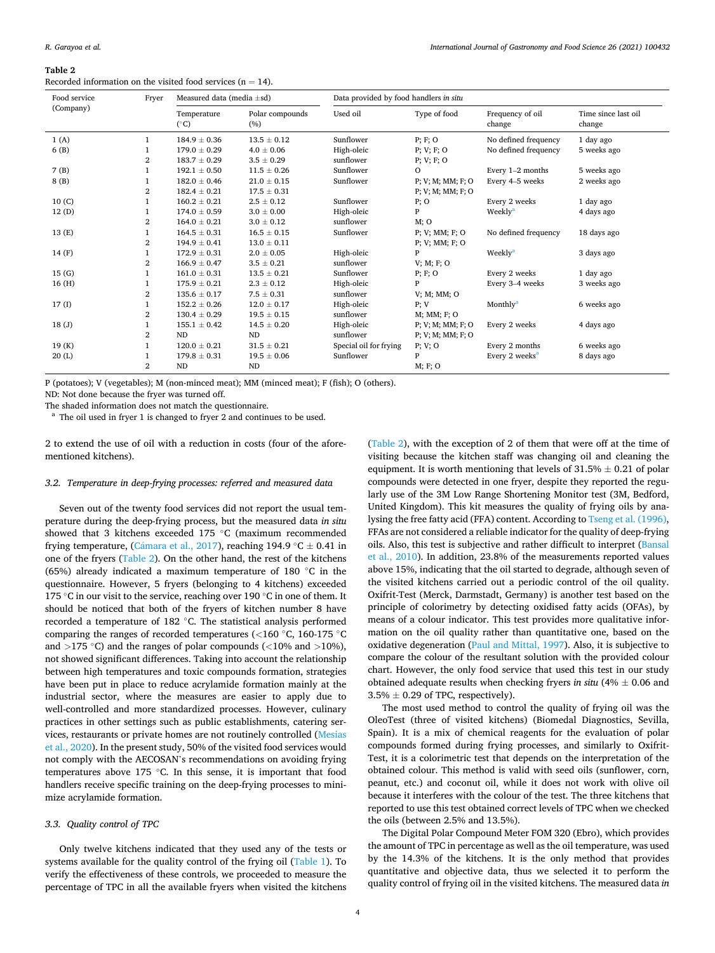#### <span id="page-3-0"></span>**Table 2**

Recorded information on the visited food services ( $n = 14$ ).

| Food service | Fryer          | Measured data (media $\pm$ sd) |                        | Data provided by food handlers in situ |                        |                            |                               |  |  |
|--------------|----------------|--------------------------------|------------------------|----------------------------------------|------------------------|----------------------------|-------------------------------|--|--|
| (Company)    |                | Temperature<br>$(^{\circ}C)$   | Polar compounds<br>(%) | Used oil                               | Type of food           | Frequency of oil<br>change | Time since last oil<br>change |  |  |
| 1(A)         |                | $184.9 \pm 0.36$               | $13.5 \pm 0.12$        | Sunflower                              | P; F; O                | No defined frequency       | 1 day ago                     |  |  |
| 6 (B)        |                | $179.0 \pm 0.29$               | $4.0 \pm 0.06$         | High-oleic                             | $P$ ; $V$ ; $F$ ; $O$  | No defined frequency       | 5 weeks ago                   |  |  |
|              | 2              | $183.7 \pm 0.29$               | $3.5 \pm 0.29$         | sunflower                              | $P$ ; $V$ ; $F$ ; $O$  |                            |                               |  |  |
| 7(B)         |                | $192.1 \pm 0.50$               | $11.5 \pm 0.26$        | Sunflower                              | $\circ$                | Every 1-2 months           | 5 weeks ago                   |  |  |
| 8(B)         |                | $182.0 \pm 0.46$               | $21.0 \pm 0.15$        | Sunflower                              | P; V; M; MM; F; O      | Every 4-5 weeks            | 2 weeks ago                   |  |  |
|              | 2              | $182.4 \pm 0.21$               | $17.5 \pm 0.31$        |                                        | P: V: M: MM: F: O      |                            |                               |  |  |
| 10(C)        |                | $160.2 \pm 0.21$               | $2.5 \pm 0.12$         | Sunflower                              | $P$ ; O                | Every 2 weeks              | 1 day ago                     |  |  |
| 12(D)        | 1              | $174.0 \pm 0.59$               | $3.0 \pm 0.00$         | High-oleic                             | P                      | Weekly <sup>a</sup>        | 4 days ago                    |  |  |
|              | $\overline{2}$ | $164.0 \pm 0.21$               | $3.0 \pm 0.12$         | sunflower                              | M; O                   |                            |                               |  |  |
| 13 (E)       | 1              | $164.5 \pm 0.31$               | $16.5 \pm 0.15$        | Sunflower                              | P; V; MM; F; O         | No defined frequency       | 18 days ago                   |  |  |
|              | $\overline{2}$ | $194.9 \pm 0.41$               | $13.0 \pm 0.11$        |                                        | P; V; MM; F; O         |                            |                               |  |  |
| 14 (F)       |                | $172.9 \pm 0.31$               | $2.0 \pm 0.05$         | High-oleic                             | P                      | Weekly <sup>a</sup>        | 3 days ago                    |  |  |
|              | $\overline{2}$ | $166.9 \pm 0.47$               | $3.5 \pm 0.21$         | sunflower                              | V: M: F: O             |                            |                               |  |  |
| 15(G)        |                | $161.0 \pm 0.31$               | $13.5 \pm 0.21$        | Sunflower                              | P; F; O                | Every 2 weeks              | 1 day ago                     |  |  |
| 16(H)        |                | $175.9 \pm 0.21$               | $2.3 \pm 0.12$         | High-oleic                             | P                      | Every 3-4 weeks            | 3 weeks ago                   |  |  |
|              | $\overline{2}$ | $135.6 \pm 0.17$               | $7.5 \pm 0.31$         | sunflower                              | $V$ ; M; MM; O         |                            |                               |  |  |
| 17(I)        | 1              | $152.2 \pm 0.26$               | $12.0 \pm 0.17$        | High-oleic                             | P; V                   | Monthly <sup>a</sup>       | 6 weeks ago                   |  |  |
|              | 2              | $130.4 \pm 0.29$               | $19.5 \pm 0.15$        | sunflower                              | $M$ ; $MM$ ; $F$ ; $O$ |                            |                               |  |  |
| 18(J)        |                | $155.1 \pm 0.42$               | $14.5 \pm 0.20$        | High-oleic                             | P; V; M; MM; F; O      | Every 2 weeks              | 4 days ago                    |  |  |
|              | $\overline{2}$ | <b>ND</b>                      | ND                     | sunflower                              | P; V; M; MM; F; O      |                            |                               |  |  |
| 19(K)        |                | $120.0 \pm 0.21$               | $31.5 \pm 0.21$        | Special oil for frying                 | P; V; O                | Every 2 months             | 6 weeks ago                   |  |  |
| 20(L)        |                | $179.8 \pm 0.31$               | $19.5 \pm 0.06$        | Sunflower                              | P                      | Every 2 weeks <sup>a</sup> | 8 days ago                    |  |  |
|              | $\overline{2}$ | <b>ND</b>                      | <b>ND</b>              |                                        | M; F; O                |                            |                               |  |  |

P (potatoes); V (vegetables); M (non-minced meat); MM (minced meat); F (fish); O (others).

ND: Not done because the fryer was turned off.

The shaded information does not match the questionnaire.<br><sup>a</sup> The oil used in fryer 1 is changed to fryer 2 and continues to be used.

2 to extend the use of oil with a reduction in costs (four of the aforementioned kitchens).

## *3.2. Temperature in deep-frying processes: referred and measured data*

Seven out of the twenty food services did not report the usual temperature during the deep-frying process, but the measured data *in situ*  showed that 3 kitchens exceeded 175 ◦C (maximum recommended frying temperature, (Cámara [et al., 2017](#page-5-0)), reaching 194.9 °C  $\pm$  0.41 in one of the fryers (Table 2). On the other hand, the rest of the kitchens (65%) already indicated a maximum temperature of 180 ◦C in the questionnaire. However, 5 fryers (belonging to 4 kitchens) exceeded 175 ◦C in our visit to the service, reaching over 190 ◦C in one of them. It should be noticed that both of the fryers of kitchen number 8 have recorded a temperature of 182 ◦C. The statistical analysis performed comparing the ranges of recorded temperatures (*<*160 ◦C, 160-175 ◦C and *>*175 ◦C) and the ranges of polar compounds (*<*10% and *>*10%), not showed significant differences. Taking into account the relationship between high temperatures and toxic compounds formation, strategies have been put in place to reduce acrylamide formation mainly at the industrial sector, where the measures are easier to apply due to well-controlled and more standardized processes. However, culinary practices in other settings such as public establishments, catering services, restaurants or private homes are not routinely controlled ([Mesias](#page-5-0)  [et al., 2020](#page-5-0)). In the present study, 50% of the visited food services would not comply with the AECOSAN's recommendations on avoiding frying temperatures above 175 ◦C. In this sense, it is important that food handlers receive specific training on the deep-frying processes to minimize acrylamide formation.

## *3.3. Quality control of TPC*

Only twelve kitchens indicated that they used any of the tests or systems available for the quality control of the frying oil [\(Table 1\)](#page-2-0). To verify the effectiveness of these controls, we proceeded to measure the percentage of TPC in all the available fryers when visited the kitchens

(Table 2), with the exception of 2 of them that were off at the time of visiting because the kitchen staff was changing oil and cleaning the equipment. It is worth mentioning that levels of  $31.5\% \pm 0.21$  of polar compounds were detected in one fryer, despite they reported the regularly use of the 3M Low Range Shortening Monitor test (3M, Bedford, United Kingdom). This kit measures the quality of frying oils by analysing the free fatty acid (FFA) content. According to [Tseng et al. \(1996\)](#page-5-0), FFAs are not considered a reliable indicator for the quality of deep-frying oils. Also, this test is subjective and rather difficult to interpret ([Bansal](#page-5-0)  [et al., 2010\)](#page-5-0). In addition, 23.8% of the measurements reported values above 15%, indicating that the oil started to degrade, although seven of the visited kitchens carried out a periodic control of the oil quality. Oxifrit-Test (Merck, Darmstadt, Germany) is another test based on the principle of colorimetry by detecting oxidised fatty acids (OFAs), by means of a colour indicator. This test provides more qualitative information on the oil quality rather than quantitative one, based on the oxidative degeneration ([Paul and Mittal, 1997](#page-5-0)). Also, it is subjective to compare the colour of the resultant solution with the provided colour chart. However, the only food service that used this test in our study obtained adequate results when checking fryers *in situ* (4% ± 0.06 and  $3.5\% \pm 0.29$  of TPC, respectively).

The most used method to control the quality of frying oil was the OleoTest (three of visited kitchens) (Biomedal Diagnostics, Sevilla, Spain). It is a mix of chemical reagents for the evaluation of polar compounds formed during frying processes, and similarly to Oxifrit-Test, it is a colorimetric test that depends on the interpretation of the obtained colour. This method is valid with seed oils (sunflower, corn, peanut, etc.) and coconut oil, while it does not work with olive oil because it interferes with the colour of the test. The three kitchens that reported to use this test obtained correct levels of TPC when we checked the oils (between 2.5% and 13.5%).

The Digital Polar Compound Meter FOM 320 (Ebro), which provides the amount of TPC in percentage as well as the oil temperature, was used by the 14.3% of the kitchens. It is the only method that provides quantitative and objective data, thus we selected it to perform the quality control of frying oil in the visited kitchens. The measured data *in*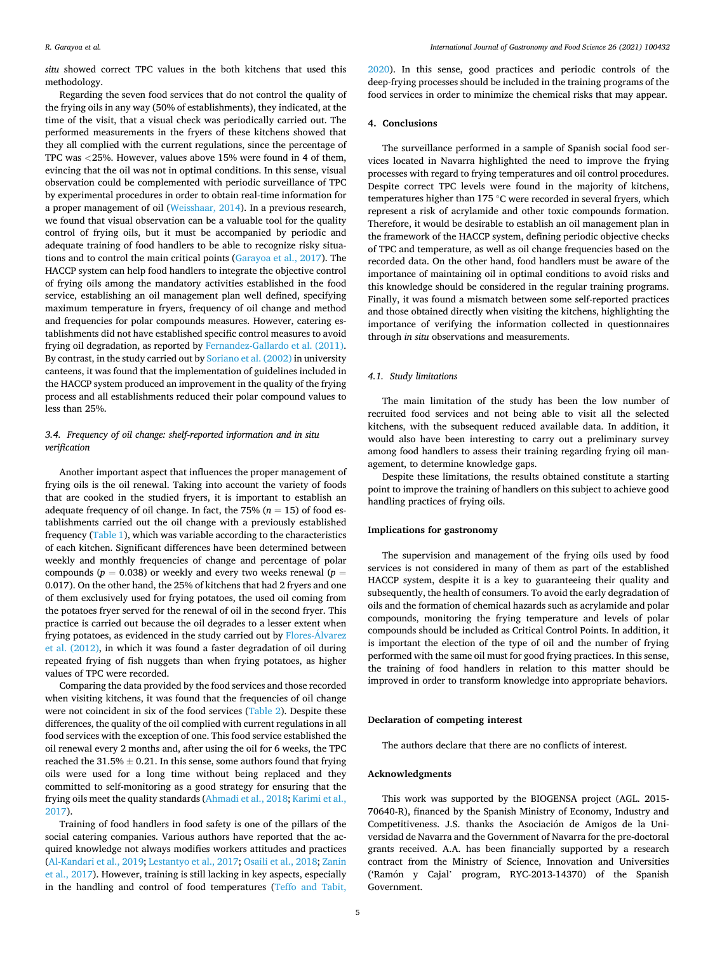*situ* showed correct TPC values in the both kitchens that used this methodology.

Regarding the seven food services that do not control the quality of the frying oils in any way (50% of establishments), they indicated, at the time of the visit, that a visual check was periodically carried out. The performed measurements in the fryers of these kitchens showed that they all complied with the current regulations, since the percentage of TPC was *<*25%. However, values above 15% were found in 4 of them, evincing that the oil was not in optimal conditions. In this sense, visual observation could be complemented with periodic surveillance of TPC by experimental procedures in order to obtain real-time information for a proper management of oil ([Weisshaar, 2014](#page-5-0)). In a previous research, we found that visual observation can be a valuable tool for the quality control of frying oils, but it must be accompanied by periodic and adequate training of food handlers to be able to recognize risky situations and to control the main critical points [\(Garayoa et al., 2017\)](#page-5-0). The HACCP system can help food handlers to integrate the objective control of frying oils among the mandatory activities established in the food service, establishing an oil management plan well defined, specifying maximum temperature in fryers, frequency of oil change and method and frequencies for polar compounds measures. However, catering establishments did not have established specific control measures to avoid frying oil degradation, as reported by [Fernandez-Gallardo et al. \(2011\)](#page-5-0). By contrast, in the study carried out by [Soriano et al. \(2002\)](#page-5-0) in university canteens, it was found that the implementation of guidelines included in the HACCP system produced an improvement in the quality of the frying process and all establishments reduced their polar compound values to less than 25%.

## *3.4. Frequency of oil change: shelf-reported information and in situ verification*

Another important aspect that influences the proper management of frying oils is the oil renewal. Taking into account the variety of foods that are cooked in the studied fryers, it is important to establish an adequate frequency of oil change. In fact, the  $75\%$  ( $n = 15$ ) of food establishments carried out the oil change with a previously established frequency [\(Table 1](#page-2-0)), which was variable according to the characteristics of each kitchen. Significant differences have been determined between weekly and monthly frequencies of change and percentage of polar compounds ( $p = 0.038$ ) or weekly and every two weeks renewal ( $p =$ 0.017). On the other hand, the 25% of kitchens that had 2 fryers and one of them exclusively used for frying potatoes, the used oil coming from the potatoes fryer served for the renewal of oil in the second fryer. This practice is carried out because the oil degrades to a lesser extent when frying potatoes, as evidenced in the study carried out by [Flores-Alvarez](#page-5-0) ´ [et al. \(2012\)](#page-5-0), in which it was found a faster degradation of oil during repeated frying of fish nuggets than when frying potatoes, as higher values of TPC were recorded.

Comparing the data provided by the food services and those recorded when visiting kitchens, it was found that the frequencies of oil change were not coincident in six of the food services [\(Table 2\)](#page-3-0). Despite these differences, the quality of the oil complied with current regulations in all food services with the exception of one. This food service established the oil renewal every 2 months and, after using the oil for 6 weeks, the TPC reached the  $31.5\% \pm 0.21$ . In this sense, some authors found that frying oils were used for a long time without being replaced and they committed to self-monitoring as a good strategy for ensuring that the frying oils meet the quality standards [\(Ahmadi et al., 2018; Karimi et al.,](#page-5-0)  [2017\)](#page-5-0).

Training of food handlers in food safety is one of the pillars of the social catering companies. Various authors have reported that the acquired knowledge not always modifies workers attitudes and practices ([Al-Kandari et al., 2019; Lestantyo et al., 2017; Osaili et al., 2018](#page-5-0); [Zanin](#page-5-0)  [et al., 2017](#page-5-0)). However, training is still lacking in key aspects, especially in the handling and control of food temperatures ([Teffo and Tabit,](#page-5-0) 

[2020\)](#page-5-0). In this sense, good practices and periodic controls of the deep-frying processes should be included in the training programs of the food services in order to minimize the chemical risks that may appear.

## **4. Conclusions**

The surveillance performed in a sample of Spanish social food services located in Navarra highlighted the need to improve the frying processes with regard to frying temperatures and oil control procedures. Despite correct TPC levels were found in the majority of kitchens, temperatures higher than 175 ◦C were recorded in several fryers, which represent a risk of acrylamide and other toxic compounds formation. Therefore, it would be desirable to establish an oil management plan in the framework of the HACCP system, defining periodic objective checks of TPC and temperature, as well as oil change frequencies based on the recorded data. On the other hand, food handlers must be aware of the importance of maintaining oil in optimal conditions to avoid risks and this knowledge should be considered in the regular training programs. Finally, it was found a mismatch between some self-reported practices and those obtained directly when visiting the kitchens, highlighting the importance of verifying the information collected in questionnaires through *in situ* observations and measurements.

## *4.1. Study limitations*

The main limitation of the study has been the low number of recruited food services and not being able to visit all the selected kitchens, with the subsequent reduced available data. In addition, it would also have been interesting to carry out a preliminary survey among food handlers to assess their training regarding frying oil management, to determine knowledge gaps.

Despite these limitations, the results obtained constitute a starting point to improve the training of handlers on this subject to achieve good handling practices of frying oils.

## **Implications for gastronomy**

The supervision and management of the frying oils used by food services is not considered in many of them as part of the established HACCP system, despite it is a key to guaranteeing their quality and subsequently, the health of consumers. To avoid the early degradation of oils and the formation of chemical hazards such as acrylamide and polar compounds, monitoring the frying temperature and levels of polar compounds should be included as Critical Control Points. In addition, it is important the election of the type of oil and the number of frying performed with the same oil must for good frying practices. In this sense, the training of food handlers in relation to this matter should be improved in order to transform knowledge into appropriate behaviors.

#### **Declaration of competing interest**

The authors declare that there are no conflicts of interest.

#### **Acknowledgments**

This work was supported by the BIOGENSA project (AGL. 2015- 70640-R), financed by the Spanish Ministry of Economy, Industry and Competitiveness. J.S. thanks the Asociación de Amigos de la Universidad de Navarra and the Government of Navarra for the pre-doctoral grants received. A.A. has been financially supported by a research contract from the Ministry of Science, Innovation and Universities ('Ramón y Cajal' program, RYC-2013-14370) of the Spanish Government.